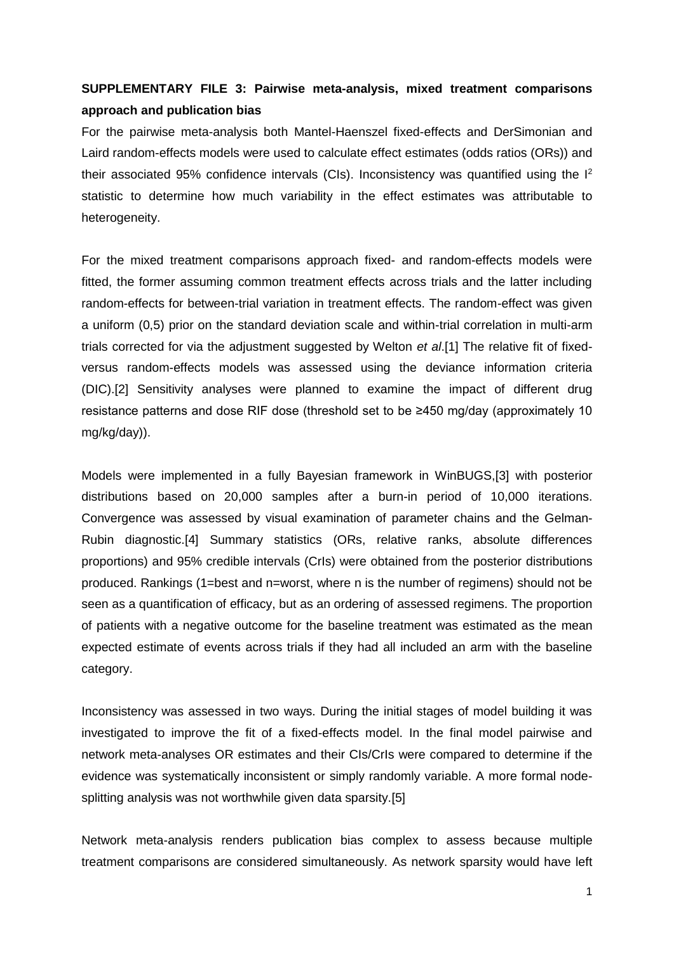## **SUPPLEMENTARY FILE 3: Pairwise meta-analysis, mixed treatment comparisons approach and publication bias**

For the pairwise meta-analysis both Mantel-Haenszel fixed-effects and DerSimonian and Laird random-effects models were used to calculate effect estimates (odds ratios (ORs)) and their associated 95% confidence intervals (CIs). Inconsistency was quantified using the  $I^2$ statistic to determine how much variability in the effect estimates was attributable to heterogeneity.

For the mixed treatment comparisons approach fixed- and random-effects models were fitted, the former assuming common treatment effects across trials and the latter including random-effects for between-trial variation in treatment effects. The random-effect was given a uniform (0,5) prior on the standard deviation scale and within-trial correlation in multi-arm trials corrected for via the adjustment suggested by Welton *et al*.[1] The relative fit of fixedversus random-effects models was assessed using the deviance information criteria (DIC).[2] Sensitivity analyses were planned to examine the impact of different drug resistance patterns and dose RIF dose (threshold set to be ≥450 mg/day (approximately 10 mg/kg/day)).

Models were implemented in a fully Bayesian framework in WinBUGS,[3] with posterior distributions based on 20,000 samples after a burn-in period of 10,000 iterations. Convergence was assessed by visual examination of parameter chains and the Gelman-Rubin diagnostic.[4] Summary statistics (ORs, relative ranks, absolute differences proportions) and 95% credible intervals (CrIs) were obtained from the posterior distributions produced. Rankings (1=best and n=worst, where n is the number of regimens) should not be seen as a quantification of efficacy, but as an ordering of assessed regimens. The proportion of patients with a negative outcome for the baseline treatment was estimated as the mean expected estimate of events across trials if they had all included an arm with the baseline category.

Inconsistency was assessed in two ways. During the initial stages of model building it was investigated to improve the fit of a fixed-effects model. In the final model pairwise and network meta-analyses OR estimates and their CIs/CrIs were compared to determine if the evidence was systematically inconsistent or simply randomly variable. A more formal nodesplitting analysis was not worthwhile given data sparsity.[5]

Network meta-analysis renders publication bias complex to assess because multiple treatment comparisons are considered simultaneously. As network sparsity would have left